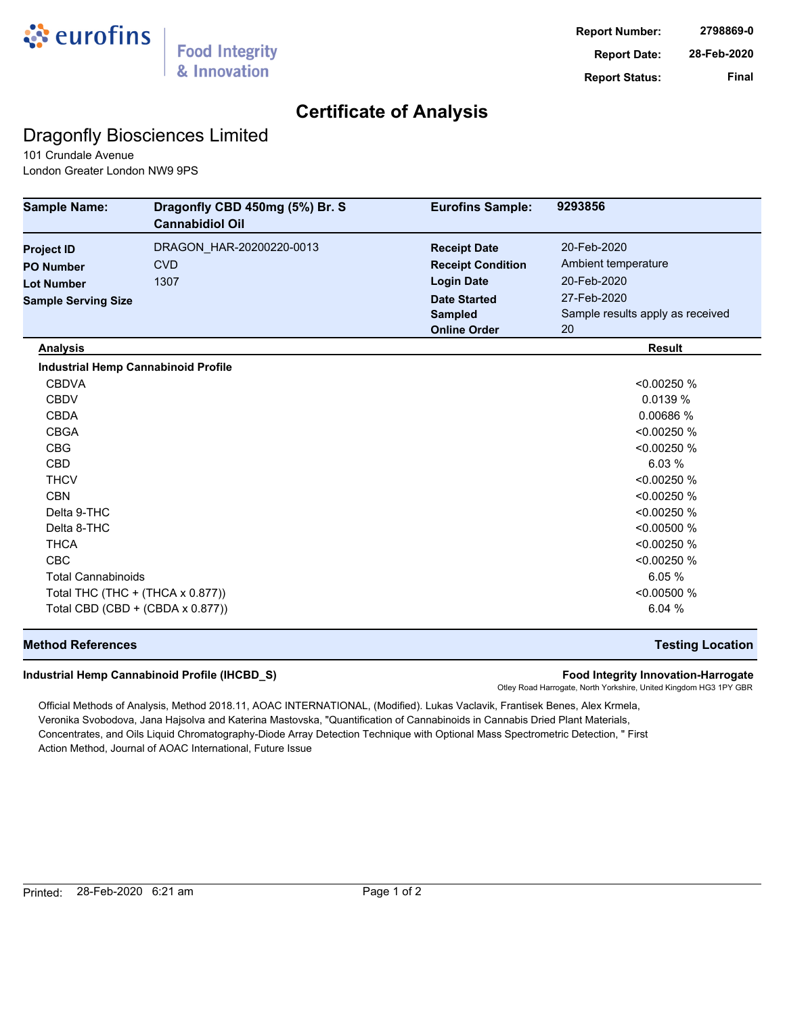

## **Certificate of Analysis**

## Dragonfly Biosciences Limited

101 Crundale Avenue London Greater London NW9 9PS

| <b>Sample Name:</b>                        | Dragonfly CBD 450mg (5%) Br. S<br><b>Cannabidiol Oil</b> | <b>Eurofins Sample:</b>  | 9293856                          |
|--------------------------------------------|----------------------------------------------------------|--------------------------|----------------------------------|
| <b>Project ID</b>                          | DRAGON_HAR-20200220-0013                                 | <b>Receipt Date</b>      | 20-Feb-2020                      |
| <b>PO Number</b>                           | <b>CVD</b>                                               | <b>Receipt Condition</b> | Ambient temperature              |
| <b>Lot Number</b>                          | 1307                                                     | <b>Login Date</b>        | 20-Feb-2020                      |
| <b>Sample Serving Size</b>                 |                                                          | <b>Date Started</b>      | 27-Feb-2020                      |
|                                            |                                                          | <b>Sampled</b>           | Sample results apply as received |
|                                            |                                                          | <b>Online Order</b>      | 20                               |
| <b>Analysis</b>                            |                                                          |                          | <b>Result</b>                    |
| <b>Industrial Hemp Cannabinoid Profile</b> |                                                          |                          |                                  |
| <b>CBDVA</b>                               |                                                          |                          | < 0.00250 %                      |
| <b>CBDV</b>                                |                                                          |                          | 0.0139%                          |
| <b>CBDA</b>                                |                                                          |                          | 0.00686 %                        |
| <b>CBGA</b>                                |                                                          |                          | < 0.00250 %                      |
| <b>CBG</b>                                 |                                                          |                          | < 0.00250 %                      |
| <b>CBD</b>                                 |                                                          |                          | 6.03%                            |
| <b>THCV</b>                                |                                                          |                          | < 0.00250 %                      |
| <b>CBN</b>                                 |                                                          |                          | < 0.00250 %                      |
| Delta 9-THC                                |                                                          |                          | < 0.00250 %                      |
| Delta 8-THC                                |                                                          |                          | < 0.00500 %                      |
| <b>THCA</b>                                |                                                          |                          | < 0.00250 %                      |
| <b>CBC</b>                                 |                                                          |                          | < 0.00250 %                      |
| <b>Total Cannabinoids</b>                  |                                                          |                          | 6.05 %                           |
| Total THC (THC + (THCA x 0.877))           |                                                          |                          | < 0.00500 %                      |
| Total CBD (CBD + (CBDA x 0.877))           |                                                          |                          | 6.04 %                           |

### **Method References Testing Location**

#### **Industrial Hemp Cannabinoid Profile (IHCBD\_S) Food Integrity Innovation-Harrogate**

Otley Road Harrogate, North Yorkshire, United Kingdom HG3 1PY GBR

Official Methods of Analysis, Method 2018.11, AOAC INTERNATIONAL, (Modified). Lukas Vaclavik, Frantisek Benes, Alex Krmela, Veronika Svobodova, Jana Hajsolva and Katerina Mastovska, "Quantification of Cannabinoids in Cannabis Dried Plant Materials, Concentrates, and Oils Liquid Chromatography-Diode Array Detection Technique with Optional Mass Spectrometric Detection, " First Action Method, Journal of AOAC International, Future Issue